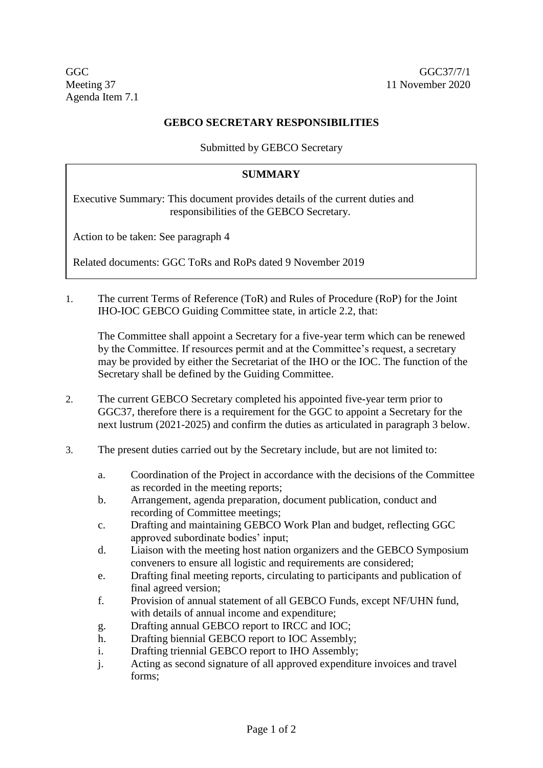Agenda Item 7.1

## **GEBCO SECRETARY RESPONSIBILITIES**

Submitted by GEBCO Secretary

## **SUMMARY**

Executive Summary: This document provides details of the current duties and responsibilities of the GEBCO Secretary.

Action to be taken: See paragraph 4

Related documents: GGC ToRs and RoPs dated 9 November 2019

1. The current Terms of Reference (ToR) and Rules of Procedure (RoP) for the Joint IHO-IOC GEBCO Guiding Committee state, in article 2.2, that:

The Committee shall appoint a Secretary for a five-year term which can be renewed by the Committee. If resources permit and at the Committee's request, a secretary may be provided by either the Secretariat of the IHO or the IOC. The function of the Secretary shall be defined by the Guiding Committee.

- 2. The current GEBCO Secretary completed his appointed five-year term prior to GGC37, therefore there is a requirement for the GGC to appoint a Secretary for the next lustrum (2021-2025) and confirm the duties as articulated in paragraph 3 below.
- 3. The present duties carried out by the Secretary include, but are not limited to:
	- a. Coordination of the Project in accordance with the decisions of the Committee as recorded in the meeting reports;
	- b. Arrangement, agenda preparation, document publication, conduct and recording of Committee meetings;
	- c. Drafting and maintaining GEBCO Work Plan and budget, reflecting GGC approved subordinate bodies' input;
	- d. Liaison with the meeting host nation organizers and the GEBCO Symposium conveners to ensure all logistic and requirements are considered;
	- e. Drafting final meeting reports, circulating to participants and publication of final agreed version;
	- f. Provision of annual statement of all GEBCO Funds, except NF/UHN fund, with details of annual income and expenditure;
	- g. Drafting annual GEBCO report to IRCC and IOC;
	- h. Drafting biennial GEBCO report to IOC Assembly;
	- i. Drafting triennial GEBCO report to IHO Assembly;
	- j. Acting as second signature of all approved expenditure invoices and travel forms;